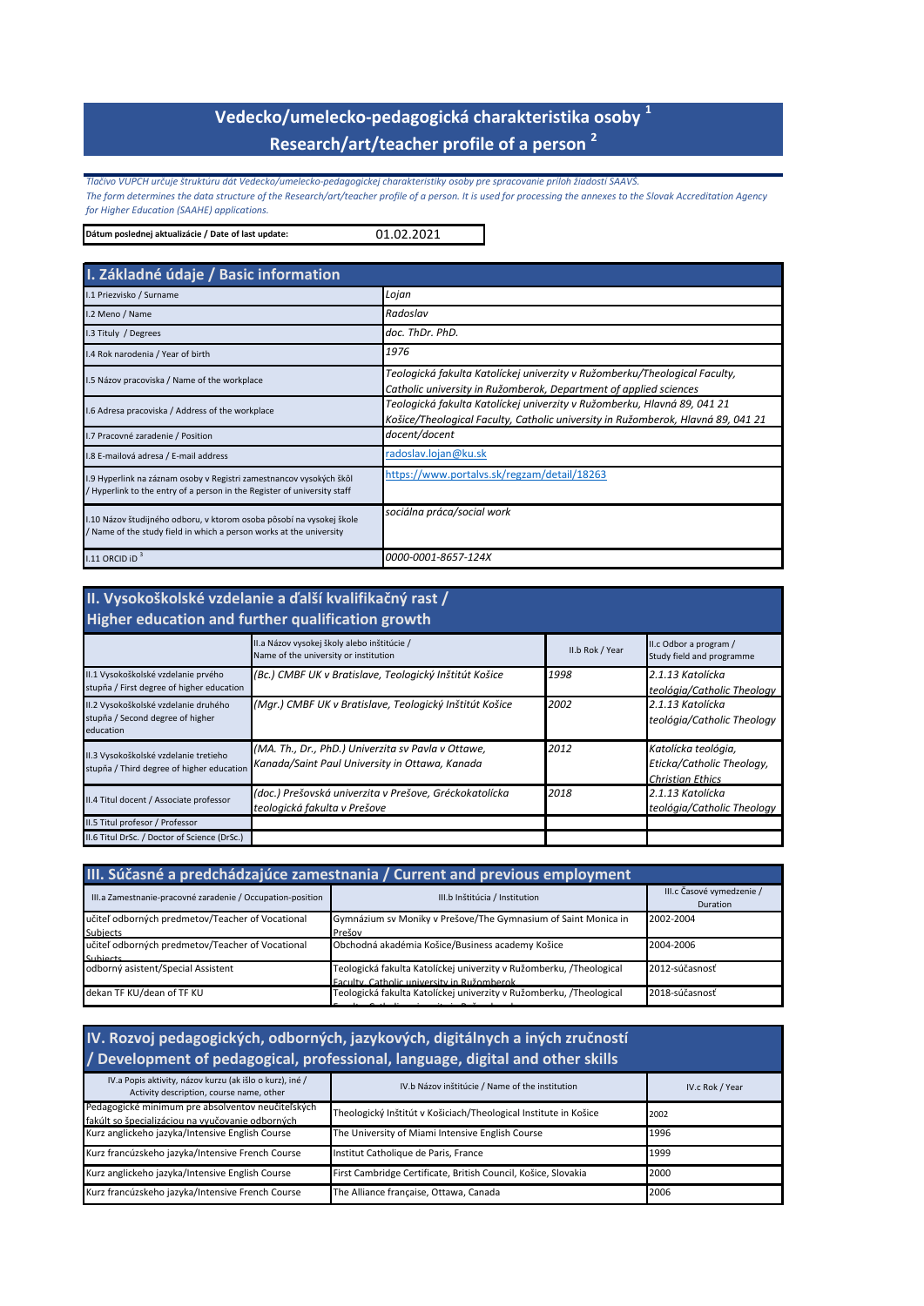# **Vedecko/umelecko-pedagogická charakteristika osoby <sup>1</sup> Research/art/teacher profile of a person <sup>2</sup>**

*Tlačivo VUPCH určuje štruktúru dát Vedecko/umelecko-pedagogickej charakteristiky osoby pre spracovanie príloh žiadostí SAAVŠ. The form determines the data structure of the Research/art/teacher profile of a person. It is used for processing the annexes to the Slovak Accreditation Agency for Higher Education (SAAHE) applications.*

01.02.2021 **Dátum poslednej aktualizácie / Date of last update:** 

| I. Základné údaje / Basic information                                                                                                        |                                                                                                                                                              |
|----------------------------------------------------------------------------------------------------------------------------------------------|--------------------------------------------------------------------------------------------------------------------------------------------------------------|
| I.1 Priezvisko / Surname                                                                                                                     | Lojan                                                                                                                                                        |
| I.2 Meno / Name                                                                                                                              | Radoslav                                                                                                                                                     |
| I.3 Tituly / Degrees                                                                                                                         | doc. ThDr. PhD.                                                                                                                                              |
| I.4 Rok narodenia / Year of birth                                                                                                            | 1976                                                                                                                                                         |
| I.5 Názov pracoviska / Name of the workplace                                                                                                 | Teologická fakulta Katolíckej univerzity v Ružomberku/Theological Faculty,<br>Catholic university in Ružomberok, Department of applied sciences              |
| .6 Adresa pracoviska / Address of the workplace                                                                                              | Teologická fakulta Katolíckej univerzity v Ružomberku, Hlavná 89, 041 21<br>Košice/Theological Faculty, Catholic university in Ružomberok, Hlavná 89, 041 21 |
| .7 Pracovné zaradenie / Position                                                                                                             | docent/docent                                                                                                                                                |
| I.8 E-mailová adresa / E-mail address                                                                                                        | radoslav.lojan@ku.sk                                                                                                                                         |
| .9 Hyperlink na záznam osoby v Registri zamestnancov vysokých škôl<br>Hyperlink to the entry of a person in the Register of university staff | https://www.portalvs.sk/regzam/detail/18263                                                                                                                  |
| 1.10 Názov študijného odboru, v ktorom osoba pôsobí na vysokej škole<br>Name of the study field in which a person works at the university    | sociálna práca/social work                                                                                                                                   |
| 1.11 ORCID ID $3$                                                                                                                            | 0000-0001-8657-124X                                                                                                                                          |

#### **II. Vysokoškolské vzdelanie a ďalší kvalifikačný rast / Higher education and further qualification growth**

| <b>THEILET CUUCALION AND TULLICE QUANTICALION ET OW CHI</b>                           |                                                                                                                                                |                 |                                                                             |
|---------------------------------------------------------------------------------------|------------------------------------------------------------------------------------------------------------------------------------------------|-----------------|-----------------------------------------------------------------------------|
|                                                                                       | II.a Názov vysokej školy alebo inštitúcie /<br>Name of the university or institution                                                           | II.b Rok / Year | II.c Odbor a program /<br>Study field and programme                         |
| II.1 Vysokoškolské vzdelanie prvého<br>stupňa / First degree of higher education      | (Bc.) CMBF UK v Bratislave, Teologický Inštitút Košice                                                                                         | 1998            | 2.1.13 Katolícka<br>teológia/Catholic Theology                              |
| II.2 Vysokoškolské vzdelanie druhého<br>stupňa / Second degree of higher<br>education | (Mar.) CMBF UK v Bratislave, Teologický Inštitút Košice                                                                                        | 2002            | 2.1.13 Katolícka<br>teológia/Catholic Theology                              |
| II.3 Vysokoškolské vzdelanie tretieho                                                 | (MA. Th., Dr., PhD.) Univerzita sv Pavla v Ottawe,<br>stupňa / Third degree of higher education Kanada/Saint Paul University in Ottawa, Kanada | 2012            | Katolícka teológia,<br>Eticka/Catholic Theology,<br><b>Christian Ethics</b> |
| II.4 Titul docent / Associate professor                                               | (doc.) Prešovská univerzita v Prešove, Gréckokatolícka<br>teologická fakulta v Prešove                                                         | 2018            | 2.1.13 Katolícka<br>teológia/Catholic Theology                              |
| II.5 Titul profesor / Professor                                                       |                                                                                                                                                |                 |                                                                             |
| II.6 Titul DrSc. / Doctor of Science (DrSc.)                                          |                                                                                                                                                |                 |                                                                             |

| III. Súčasné a predchádzajúce zamestnania / Current and previous employment |                                                                                                                   |                                       |
|-----------------------------------------------------------------------------|-------------------------------------------------------------------------------------------------------------------|---------------------------------------|
| III.a Zamestnanie-pracovné zaradenie / Occupation-position                  | III.b Inštitúcia / Institution                                                                                    | III.c Časové vymedzenie /<br>Duration |
| učiteľ odborných predmetov/Teacher of Vocational<br><b>Subjects</b>         | Gymnázium sv Moniky v Prešove/The Gymnasium of Saint Monica in<br>Prešov                                          | 2002-2004                             |
| učiteľ odborných predmetov/Teacher of Vocational<br>Subjects                | Obchodná akadémia Košice/Business academy Košice                                                                  | 2004-2006                             |
| odborný asistent/Special Assistent                                          | Teologická fakulta Katolíckej univerzity v Ružomberku, /Theological<br>Eaculty, Catholic university in Ružomberok | 2012-súčasnosť                        |
| dekan TF KU/dean of TF KU                                                   | Teologická fakulta Katolíckej univerzity v Ružomberku, /Theological                                               | 2018-súčasnosť                        |

| IV. Rozvoj pedagogických, odborných, jazykových, digitálnych a iných zručností<br>/ Development of pedagogical, professional, language, digital and other skills |                                                                  |                 |
|------------------------------------------------------------------------------------------------------------------------------------------------------------------|------------------------------------------------------------------|-----------------|
| IV.a Popis aktivity, názov kurzu (ak išlo o kurz), iné /<br>Activity description, course name, other                                                             | IV.b Názov inštitúcie / Name of the institution                  | IV.c Rok / Year |
| Pedagogické minimum pre absolventov neučiteľských<br>fakúlt so špecializáciou na vyučovanie odborných                                                            | Theologický Inštitút v Košiciach/Theological Institute in Košice | 2002            |
| Kurz anglickeho jazyka/Intensive English Course                                                                                                                  | The University of Miami Intensive English Course                 | 1996            |
| Kurz francúzskeho jazyka/Intensive French Course                                                                                                                 | Institut Catholique de Paris, France                             | 1999            |
| Kurz anglickeho jazyka/Intensive English Course                                                                                                                  | First Cambridge Certificate, British Council, Košice, Slovakia   | 2000            |
| Kurz francúzskeho jazyka/Intensive French Course                                                                                                                 | The Alliance française, Ottawa, Canada                           | 2006            |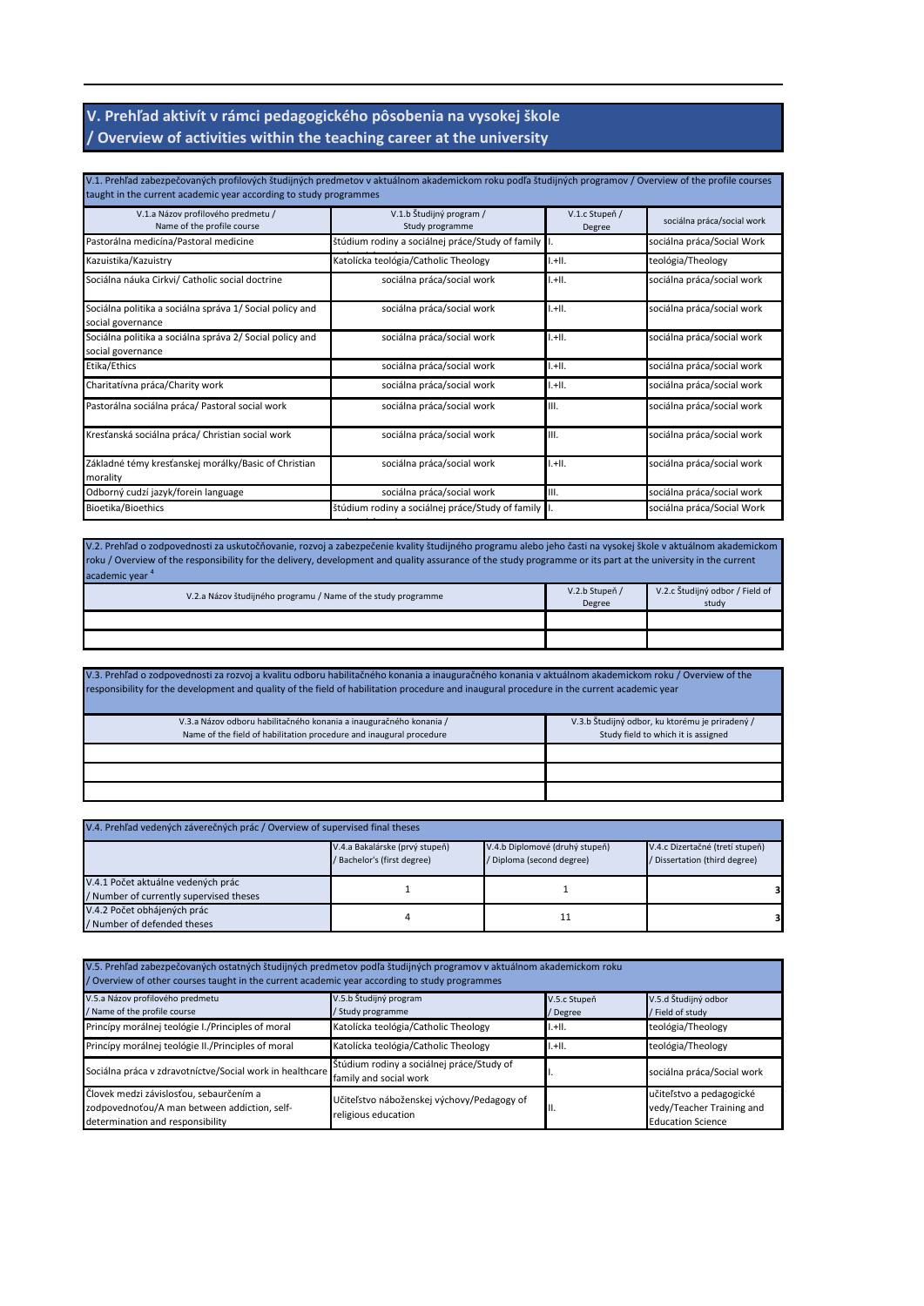#### **V. Prehľad aktivít v rámci pedagogického pôsobenia na vysokej škole / Overview of activities within the teaching career at the university**

| V.1. Prehľad zabezpečovaných profilových študijných predmetov v aktuálnom akademickom roku podľa študijných programov / Overview of the profile courses<br>taught in the current academic year according to study programmes |                                                      |                          |                            |
|------------------------------------------------------------------------------------------------------------------------------------------------------------------------------------------------------------------------------|------------------------------------------------------|--------------------------|----------------------------|
| V.1.a Názov profilového predmetu /<br>Name of the profile course                                                                                                                                                             | V.1.b Študijný program /<br>Study programme          | V.1.c Stupeň /<br>Degree | sociálna práca/social work |
| Pastorálna medicína/Pastoral medicine                                                                                                                                                                                        | štúdium rodiny a sociálnej práce/Study of family I.  |                          | sociálna práca/Social Work |
| Kazuistika/Kazuistry                                                                                                                                                                                                         | Katolícka teológia/Catholic Theology                 | $1. + 11.$               | teológia/Theology          |
| Sociálna náuka Cirkvi/ Catholic social doctrine                                                                                                                                                                              | sociálna práca/social work                           | $1. + 11.$               | sociálna práca/social work |
| Sociálna politika a sociálna správa 1/ Social policy and<br>social governance                                                                                                                                                | sociálna práca/social work                           | $1. + 11.$               | sociálna práca/social work |
| Sociálna politika a sociálna správa 2/ Social policy and<br>social governance                                                                                                                                                | sociálna práca/social work                           | $1. + 11.$               | sociálna práca/social work |
| Etika/Ethics                                                                                                                                                                                                                 | sociálna práca/social work                           | $1. + 11.$               | sociálna práca/social work |
| Charitatívna práca/Charity work                                                                                                                                                                                              | sociálna práca/social work                           | $1. + 11.$               | sociálna práca/social work |
| Pastorálna sociálna práca/ Pastoral social work                                                                                                                                                                              | sociálna práca/social work                           | III.                     | sociálna práca/social work |
| Kresťanská sociálna práca/ Christian social work                                                                                                                                                                             | sociálna práca/social work                           | III.                     | sociálna práca/social work |
| Základné témy kresťanskej morálky/Basic of Christian<br>morality                                                                                                                                                             | sociálna práca/social work                           | $1 + 11$ .               | sociálna práca/social work |
| Odborný cudzí jazyk/forein language                                                                                                                                                                                          | sociálna práca/social work                           | III.                     | sociálna práca/social work |
| Bioetika/Bioethics                                                                                                                                                                                                           | štúdium rodiny a sociálnej práce/Study of family   . |                          | sociálna práca/Social Work |

V.2. Prehľad o zodpovednosti za uskutočňovanie, rozvoj a zabezpečenie kvality študijného programu alebo jeho časti na vysokej škole v aktuálnom akademickom roku / Overview of the responsibility for the delivery, development and quality assurance of the study programme or its part at the university in the current academic year <sup>4</sup>

| .<br>V.2.a Názov študijného programu / Name of the study programme | V.2.b Stupeň /<br>Degree | V.2.c Študijný odbor / Field of<br>study |
|--------------------------------------------------------------------|--------------------------|------------------------------------------|
|                                                                    |                          |                                          |
|                                                                    |                          |                                          |

V.3. Prehľad o zodpovednosti za rozvoj a kvalitu odboru habilitačného konania a inauguračného konania v aktuálnom akademickom roku / Overview of the responsibility for the development and quality of the field of habilitation procedure and inaugural procedure in the current academic year

| V.3.a Názov odboru habilitačného konania a inauguračného konania /  | V.3.b Študijný odbor, ku ktorému je priradený / |
|---------------------------------------------------------------------|-------------------------------------------------|
| Name of the field of habilitation procedure and inaugural procedure | Study field to which it is assigned             |
|                                                                     |                                                 |
|                                                                     |                                                 |
|                                                                     |                                                 |
|                                                                     |                                                 |

| V.4. Prehľad vedených záverečných prác / Overview of supervised final theses  |                                                               |                                                             |                                                                  |
|-------------------------------------------------------------------------------|---------------------------------------------------------------|-------------------------------------------------------------|------------------------------------------------------------------|
|                                                                               | V.4.a Bakalárske (prvý stupeň)<br>/ Bachelor's (first degree) | V.4.b Diplomové (druhý stupeň)<br>/ Diploma (second degree) | V.4.c Dizertačné (tretí stupeň)<br>/ Dissertation (third degree) |
| V.4.1 Počet aktuálne vedených prác<br>/ Number of currently supervised theses |                                                               |                                                             |                                                                  |
| V.4.2 Počet obhájených prác<br>/ Number of defended theses                    | 4                                                             |                                                             |                                                                  |

| V.5. Prehľad zabezpečovaných ostatných študijných predmetov podľa študijných programov v aktuálnom akademickom roku<br>/ Overview of other courses taught in the current academic year according to study programmes |                                                                     |                          |                                                                                   |
|----------------------------------------------------------------------------------------------------------------------------------------------------------------------------------------------------------------------|---------------------------------------------------------------------|--------------------------|-----------------------------------------------------------------------------------|
| V.5.a Názov profilového predmetu<br>/ Name of the profile course                                                                                                                                                     | V.5.b Študijný program<br>/ Study programme                         | V.5.c Stupeň<br>/ Degree | V.5.d Študijný odbor<br>/ Field of study                                          |
| Princípy morálnej teológie I./Principles of moral                                                                                                                                                                    | Katolícka teológia/Catholic Theology                                | $1. + 11.$               | teológia/Theology                                                                 |
| Princípy morálnej teológie II./Principles of moral                                                                                                                                                                   | Katolícka teológia/Catholic Theology                                | $1. + 11.$               | teológia/Theology                                                                 |
| Sociálna práca v zdravotníctve/Social work in healthcare                                                                                                                                                             | Štúdium rodiny a sociálnej práce/Study of<br>family and social work |                          | sociálna práca/Social work                                                        |
| Človek medzi závislosťou, sebaurčením a<br>zodpovednoťou/A man between addiction, self-<br>determination and responsibility                                                                                          | Učiteľstvo náboženskej výchovy/Pedagogy of<br>religious education   | Ш.                       | učiteľstvo a pedagogické<br>vedy/Teacher Training and<br><b>Education Science</b> |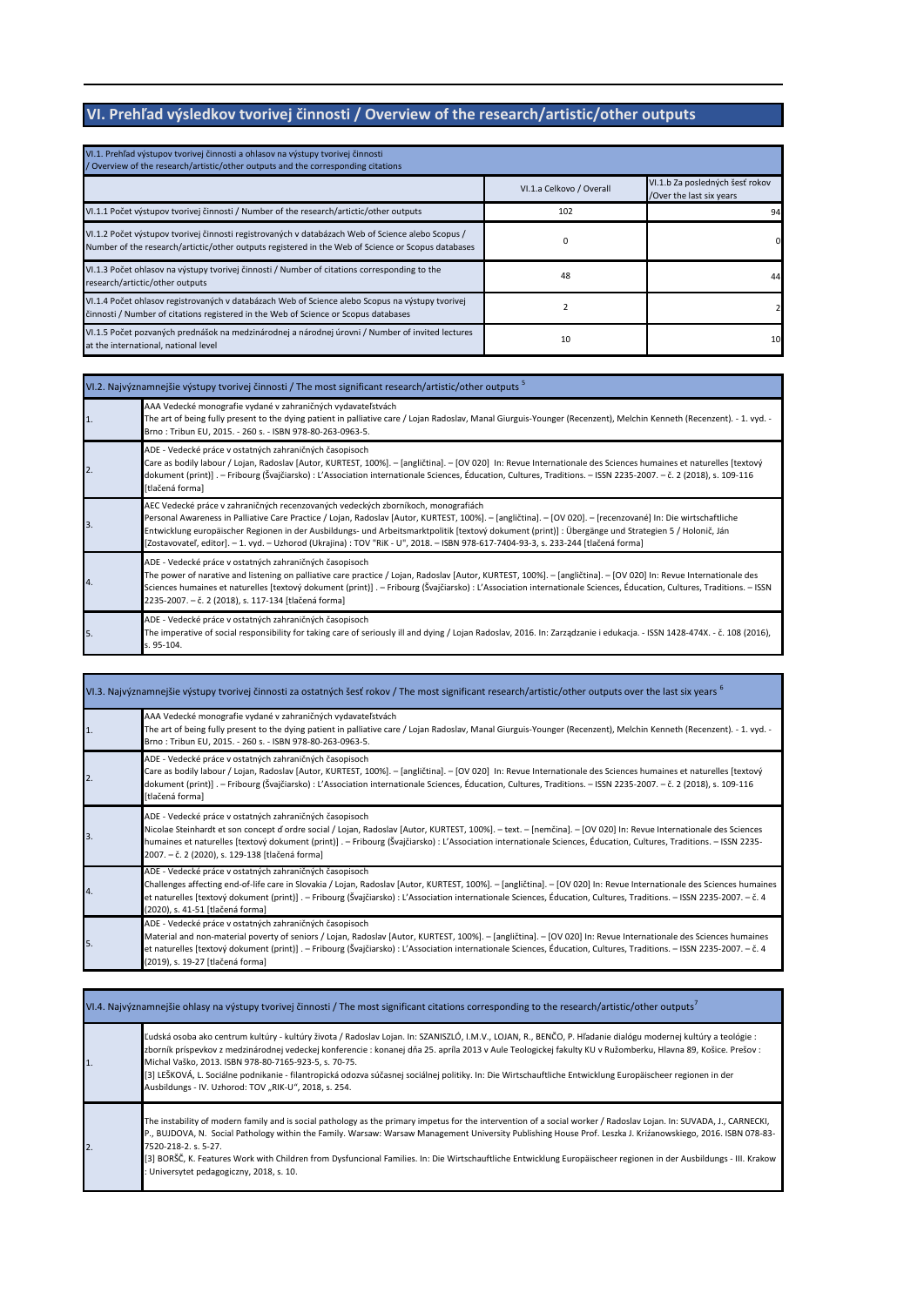## **VI. Prehľad výsledkov tvorivej činnosti / Overview of the research/artistic/other outputs**

| VI.1. Prehľad výstupov tvorivej činnosti a ohlasov na výstupy tvorivej činnosti<br>/ Overview of the research/artistic/other outputs and the corresponding citations                                    |                          |                                                             |
|---------------------------------------------------------------------------------------------------------------------------------------------------------------------------------------------------------|--------------------------|-------------------------------------------------------------|
|                                                                                                                                                                                                         | VI.1.a Celkovo / Overall | VI.1.b Za posledných šesť rokov<br>/Over the last six years |
| VI.1.1 Počet výstupov tvorivej činnosti / Number of the research/artictic/other outputs                                                                                                                 | 102                      | 94                                                          |
| VI.1.2 Počet výstupov tvorivej činnosti registrovaných v databázach Web of Science alebo Scopus /<br>Number of the research/artictic/other outputs registered in the Web of Science or Scopus databases | ŋ                        |                                                             |
| VI.1.3 Počet ohlasov na výstupy tvorivej činnosti / Number of citations corresponding to the<br>research/artictic/other outputs                                                                         | 48                       | 44                                                          |
| VI.1.4 Počet ohlasov registrovaných v databázach Web of Science alebo Scopus na výstupy tvorivej<br>činnosti / Number of citations registered in the Web of Science or Scopus databases                 |                          |                                                             |
| VI.1.5 Počet pozvaných prednášok na medzinárodnej a národnej úrovni / Number of invited lectures<br>at the international, national level                                                                | 10                       | 10                                                          |

|    | VI.2. Najvýznamnejšie výstupy tvorivej činnosti / The most significant research/artistic/other outputs <sup>5</sup>                                                                                                                                                                                                                                                                                                                                                                                                                            |  |
|----|------------------------------------------------------------------------------------------------------------------------------------------------------------------------------------------------------------------------------------------------------------------------------------------------------------------------------------------------------------------------------------------------------------------------------------------------------------------------------------------------------------------------------------------------|--|
|    | AAA Vedecké monografie vydané v zahraničných vydavateľstvách<br>The art of being fully present to the dying patient in palliative care / Lojan Radoslav, Manal Giurguis-Younger (Recenzent), Melchin Kenneth (Recenzent). - 1. vyd. -<br>Brno: Tribun EU, 2015. - 260 s. - ISBN 978-80-263-0963-5.                                                                                                                                                                                                                                             |  |
|    | ADE - Vedecké práce v ostatných zahraničných časopisoch<br>Care as bodily labour / Lojan, Radoslav [Autor, KURTEST, 100%]. - [angličtina]. - [OV 020] In: Revue Internationale des Sciences humaines et naturelles [textový<br>dokument (print)] . - Fribourg (Švajčiarsko) : L'Association internationale Sciences, Éducation, Cultures, Traditions. - ISSN 2235-2007. - č. 2 (2018), s. 109-116<br>[tlačená forma]                                                                                                                           |  |
| 3  | AEC Vedecké práce v zahraničných recenzovaných vedeckých zborníkoch, monografiách<br>Personal Awareness in Palliative Care Practice / Lojan, Radoslav [Autor, KURTEST, 100%]. - [angličtina]. - [OV 020]. - [recenzované] In: Die wirtschaftliche<br>Entwicklung europäischer Regionen in der Ausbildungs- und Arbeitsmarktpolitik [textový dokument (print)] : Übergänge und Strategien 5 / Holonič, Ján<br>[Zostavovateľ, editor]. - 1. vyd. - Uzhorod (Ukrajina): TOV "RiK - U", 2018. - ISBN 978-617-7404-93-3, s. 233-244 [tlačená forma] |  |
| 4. | ADE - Vedecké práce v ostatných zahraničných časopisoch<br>The power of narative and listening on palliative care practice / Lojan, Radoslav [Autor, KURTEST, 100%]. - [angličtina]. - [OV 020] In: Revue Internationale des<br>Sciences humaines et naturelles [textový dokument (print)] . - Fribourg (Švajčiarsko) : L'Association internationale Sciences, Éducation, Cultures, Traditions. - ISSN<br>2235-2007. - č. 2 (2018), s. 117-134 [tlačená forma]                                                                                 |  |
| 5. | ADE - Vedecké práce v ostatných zahraničných časopisoch<br>The imperative of social responsibility for taking care of seriously ill and dying / Lojan Radoslav, 2016. In: Zarządzanie i edukacja. - ISSN 1428-474X. - č. 108 (2016),<br>s. 95-104.                                                                                                                                                                                                                                                                                             |  |

|                  | VI.3. Najvýznamnejšie výstupy tvorivej činnosti za ostatných šesť rokov / The most significant research/artistic/other outputs over the last six years by                                                                                                                                                                                                                                                                                           |
|------------------|-----------------------------------------------------------------------------------------------------------------------------------------------------------------------------------------------------------------------------------------------------------------------------------------------------------------------------------------------------------------------------------------------------------------------------------------------------|
| 1.               | AAA Vedecké monografie vydané v zahraničných vydavateľstvách<br>The art of being fully present to the dying patient in palliative care / Lojan Radoslav, Manal Giurguis-Younger (Recenzent), Melchin Kenneth (Recenzent). - 1. vyd. -<br>Brno: Tribun EU, 2015. - 260 s. - ISBN 978-80-263-0963-5.                                                                                                                                                  |
| $\overline{2}$ . | ADE - Vedecké práce v ostatných zahraničných časopisoch<br>Care as bodily labour / Lojan, Radoslav [Autor, KURTEST, 100%]. - [angličtina]. - [OV 020] In: Revue Internationale des Sciences humaines et naturelles [textový<br>dokument (print)]. - Fribourg (Švajčiarsko): L'Association internationale Sciences, Éducation, Cultures, Traditions. - ISSN 2235-2007. - č. 2 (2018), s. 109-116<br>[tlačená forma]                                  |
| 3.               | ADE - Vedecké práce v ostatných zahraničných časopisoch<br>Nicolae Steinhardt et son concept d'ordre social / Lojan, Radoslav [Autor, KURTEST, 100%]. - text. - [nemčina]. - [OV 020] In: Revue Internationale des Sciences<br>humaines et naturelles [textový dokument (print)]. - Fribourg (Švajčiarsko): L'Association internationale Sciences, Éducation, Cultures, Traditions. - ISSN 2235-<br>2007. – č. 2 (2020), s. 129-138 [tlačená forma] |
| 4.               | ADE - Vedecké práce v ostatných zahraničných časopisoch<br>Challenges affecting end-of-life care in Slovakia / Lojan, Radoslav [Autor, KURTEST, 100%]. - [angličtina]. - [OV 020] In: Revue Internationale des Sciences humaines<br>et naturelles [textový dokument (print)]. - Fribourg (Švajčiarsko): L'Association internationale Sciences, Éducation, Cultures, Traditions. - ISSN 2235-2007. - č. 4<br>(2020), s. 41-51 [tlačená forma]        |
| 5.               | ADE - Vedecké práce v ostatných zahraničných časopisoch<br>Material and non-material poverty of seniors / Lojan, Radoslav [Autor, KURTEST, 100%]. - [angličtina]. - [OV 020] In: Revue Internationale des Sciences humaines<br>et naturelles [textový dokument (print)]. - Fribourg (Švajčiarsko): L'Association internationale Sciences, Éducation, Cultures, Traditions. - ISSN 2235-2007. - č. 4<br>(2019), s. 19-27 [tlačená forma]             |

| VI.4. Najvýznamnejšie ohlasy na výstupy tvorivej činnosti / The most significant citations corresponding to the research/artistic/other outputs' |                                                                                                                                                                                                                                                                                                                                                                                                                                                                                                                                                                                                                 |  |  |  |  |  |
|--------------------------------------------------------------------------------------------------------------------------------------------------|-----------------------------------------------------------------------------------------------------------------------------------------------------------------------------------------------------------------------------------------------------------------------------------------------------------------------------------------------------------------------------------------------------------------------------------------------------------------------------------------------------------------------------------------------------------------------------------------------------------------|--|--|--|--|--|
|                                                                                                                                                  | Ľudská osoba ako centrum kultúry - kultúry života / Radoslav Lojan. In: SZANISZLÓ, I.M.V., LOJAN, R., BENČO, P. Hľadanie dialógu modernej kultúry a teológie :<br>zborník príspevkov z medzinárodnej vedeckej konferencie : konanej dňa 25. apríla 2013 v Aule Teologickej fakulty KU v Ružomberku, Hlavna 89, Košice. Prešov :<br>Michal Vaško, 2013. ISBN 978-80-7165-923-5, s. 70-75.<br>[3] LEŠKOVÁ, L. Sociálne podnikanie - filantropická odozva súčasnej sociálnej politiky. In: Die Wirtschauftliche Entwicklung Europäischeer regionen in der<br>Ausbildungs - IV. Uzhorod: TOV "RIK-U", 2018, s. 254. |  |  |  |  |  |
| 2.                                                                                                                                               | The instability of modern family and is social pathology as the primary impetus for the intervention of a social worker / Radoslav Lojan. In: SUVADA, J., CARNECKI,<br>P., BUJDOVA, N. Social Pathology within the Family. Warsaw: Warsaw Management University Publishing House Prof. Leszka J. Kriźanowskiego, 2016. ISBN 078-83-<br>7520-218-2. s. 5-27.<br>[3] BORŠČ, K. Features Work with Children from Dysfuncional Families. In: Die Wirtschauftliche Entwicklung Europäischeer regionen in der Ausbildungs - III. Krakow<br>Universytet pedagogiczny, 2018, s. 10.                                     |  |  |  |  |  |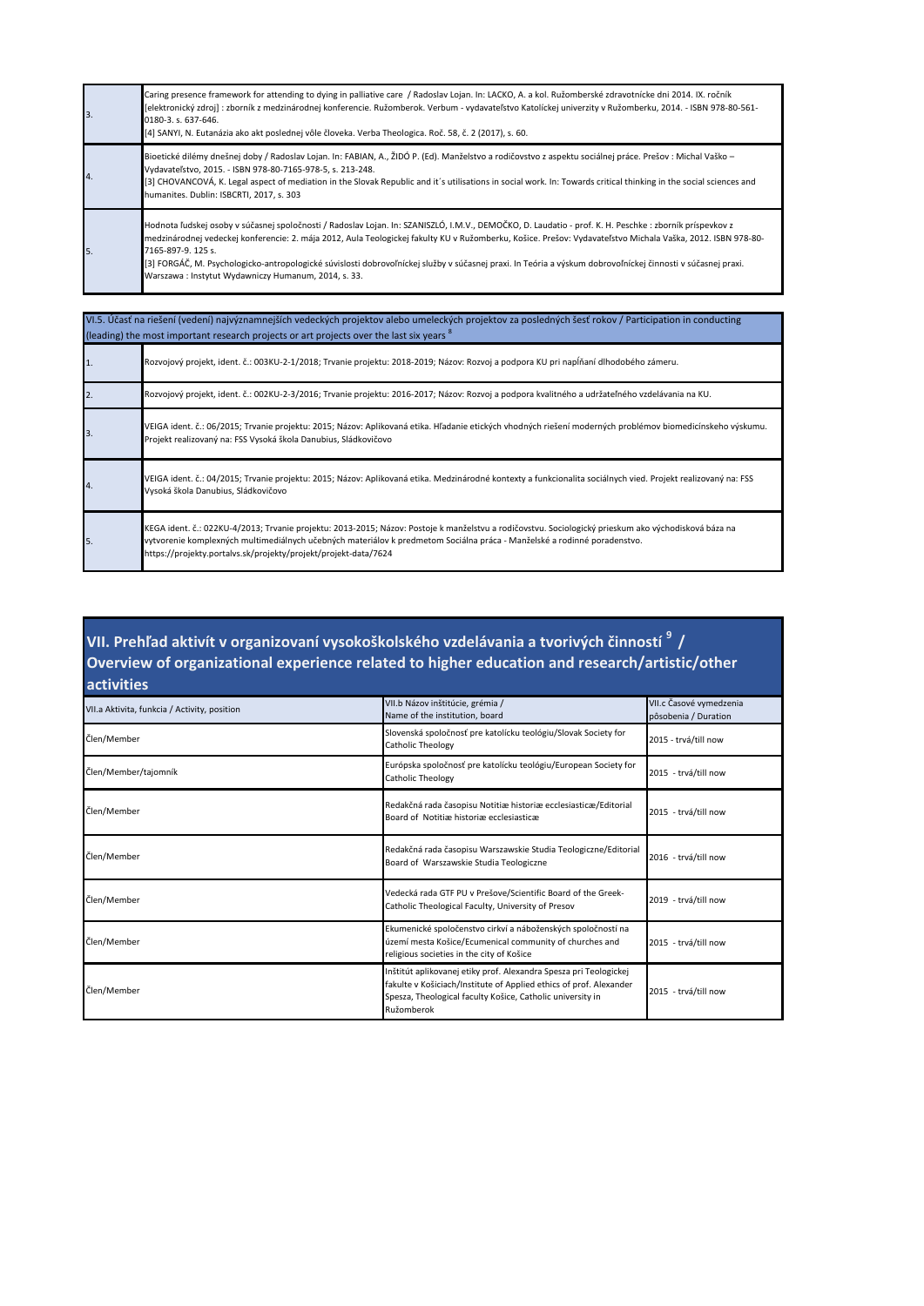| 3. | Caring presence framework for attending to dying in palliative care / Radoslav Lojan. In: LACKO, A. a kol. Ružomberské zdravotnícke dni 2014. IX. ročník<br>[elektronický zdroj]: zborník z medzinárodnej konferencie. Ružomberok. Verbum - vydavateľstvo Katolíckej univerzity v Ružomberku, 2014. - ISBN 978-80-561-<br>0180-3. s. 637-646.<br>[4] SANYI, N. Eutanázia ako akt poslednej vôle človeka. Verba Theologica. Roč. 58, č. 2 (2017), s. 60.                                                                                                            |
|----|--------------------------------------------------------------------------------------------------------------------------------------------------------------------------------------------------------------------------------------------------------------------------------------------------------------------------------------------------------------------------------------------------------------------------------------------------------------------------------------------------------------------------------------------------------------------|
| 4. | Bioetické dilémy dnešnej doby / Radoslav Lojan. In: FABIAN, A., ŽIDÓ P. (Ed). Manželstvo a rodičovstvo z aspektu sociálnej práce. Prešov : Michal Vaško -<br>Vydavateľstvo, 2015. - ISBN 978-80-7165-978-5, s. 213-248.<br>[3] CHOVANCOVÁ, K. Legal aspect of mediation in the Slovak Republic and it's utilisations in social work. In: Towards critical thinking in the social sciences and<br>humanites. Dublin: ISBCRTI, 2017, s. 303                                                                                                                          |
| 5. | Hodnota ľudskej osoby v súčasnej spoločnosti / Radoslav Lojan. In: SZANISZLÓ, I.M.V., DEMOČKO, D. Laudatio - prof. K. H. Peschke : zborník príspevkov z<br>medzinárodnej vedeckej konferencie: 2. mája 2012, Aula Teologickej fakulty KU v Ružomberku, Košice. Prešov: Vydavateľstvo Michala Vaška, 2012. ISBN 978-80-<br>7165-897-9, 125 s.<br>[3] FORGÁČ, M. Psychologicko-antropologické súvislosti dobrovoľníckej služby v súčasnej praxi. In Teória a výskum dobrovoľníckej činnosti v súčasnej praxi.<br>Warszawa: Instytut Wydawniczy Humanum, 2014, s. 33. |

| VI.5. Účasť na riešení (vedení) najvýznamnejších vedeckých projektov alebo umeleckých projektov za posledných šesť rokov / Participation in conducting<br>(leading) the most important research projects or art projects over the last six years <sup>8</sup> |                                                                                                                                                                                                                                                                                                                                                     |  |  |  |
|---------------------------------------------------------------------------------------------------------------------------------------------------------------------------------------------------------------------------------------------------------------|-----------------------------------------------------------------------------------------------------------------------------------------------------------------------------------------------------------------------------------------------------------------------------------------------------------------------------------------------------|--|--|--|
|                                                                                                                                                                                                                                                               | Rozvojový projekt, ident. č.: 003KU-2-1/2018; Trvanie projektu: 2018-2019; Názov: Rozvoj a podpora KU pri napĺňaní dlhodobého zámeru.                                                                                                                                                                                                               |  |  |  |
|                                                                                                                                                                                                                                                               | Rozvojový projekt, ident. č.: 002KU-2-3/2016; Trvanie projektu: 2016-2017; Názov: Rozvoj a podpora kvalitného a udržateľného vzdelávania na KU.                                                                                                                                                                                                     |  |  |  |
| 3                                                                                                                                                                                                                                                             | VEIGA ident. č.: 06/2015; Trvanie projektu: 2015; Názov: Aplikovaná etika. Hľadanie etických vhodných riešení moderných problémov biomedicínskeho výskumu.<br>Projekt realizovaný na: FSS Vysoká škola Danubius, Sládkovičovo                                                                                                                       |  |  |  |
| 4.                                                                                                                                                                                                                                                            | VEIGA ident. č.: 04/2015; Trvanie projektu: 2015; Názov: Aplikovaná etika. Medzinárodné kontexty a funkcionalita sociálnych vied. Projekt realizovaný na: FSS<br>Vysoká škola Danubius, Sládkovičovo                                                                                                                                                |  |  |  |
| 5.                                                                                                                                                                                                                                                            | KEGA ident. č.: 022KU-4/2013; Trvanie projektu: 2013-2015; Názov: Postoje k manželstvu a rodičovstvu. Sociologický prieskum ako východisková báza na<br>vytvorenie komplexných multimediálnych učebných materiálov k predmetom Sociálna práca - Manželské a rodinné poradenstvo.<br>https://projekty.portalvs.sk/projekty/projekt/projekt-data/7624 |  |  |  |

### **VII. Prehľad aktivít v organizovaní vysokoškolského vzdelávania a tvorivých činností <sup>9</sup>/ Overview of organizational experience related to higher education and research/artistic/other activities**

| VII.a Aktivita, funkcia / Activity, position | VII.b Názov inštitúcie, grémia /<br>Name of the institution, board                                                                                                                                                  | VII.c Časové vymedzenia<br>pôsobenia / Duration |
|----------------------------------------------|---------------------------------------------------------------------------------------------------------------------------------------------------------------------------------------------------------------------|-------------------------------------------------|
| Člen/Member                                  | Slovenská spoločnosť pre katolícku teológiu/Slovak Society for<br>Catholic Theology                                                                                                                                 | 2015 - trvá/till now                            |
| Člen/Member/tajomník                         | Európska spoločnosť pre katolícku teológiu/European Society for<br>Catholic Theology                                                                                                                                | 2015 - trvá/till now                            |
| Člen/Member                                  | Redakčná rada časopisu Notitiæ historiæ ecclesiasticæ/Editorial<br>Board of Notitiæ historiæ ecclesiasticæ                                                                                                          | 2015 - trvá/till now                            |
| Člen/Member                                  | Redakčná rada časopisu Warszawskie Studia Teologiczne/Editorial<br>Board of Warszawskie Studia Teologiczne                                                                                                          | 2016 - trvá/till now                            |
| Člen/Member                                  | Vedecká rada GTF PU v Prešove/Scientific Board of the Greek-<br>Catholic Theological Faculty, University of Presov                                                                                                  | 2019 - trvá/till now                            |
| Člen/Member                                  | Ekumenické spoločenstvo cirkví a náboženských spoločností na<br>území mesta Košice/Ecumenical community of churches and<br>religious societies in the city of Košice                                                | 2015 - trvá/till now                            |
| Člen/Member                                  | Inštitút aplikovanej etiky prof. Alexandra Spesza pri Teologickej<br>fakulte v Košiciach/Institute of Applied ethics of prof. Alexander<br>Spesza, Theological faculty Košice, Catholic university in<br>Ružomberok | 2015 - trvá/till now                            |